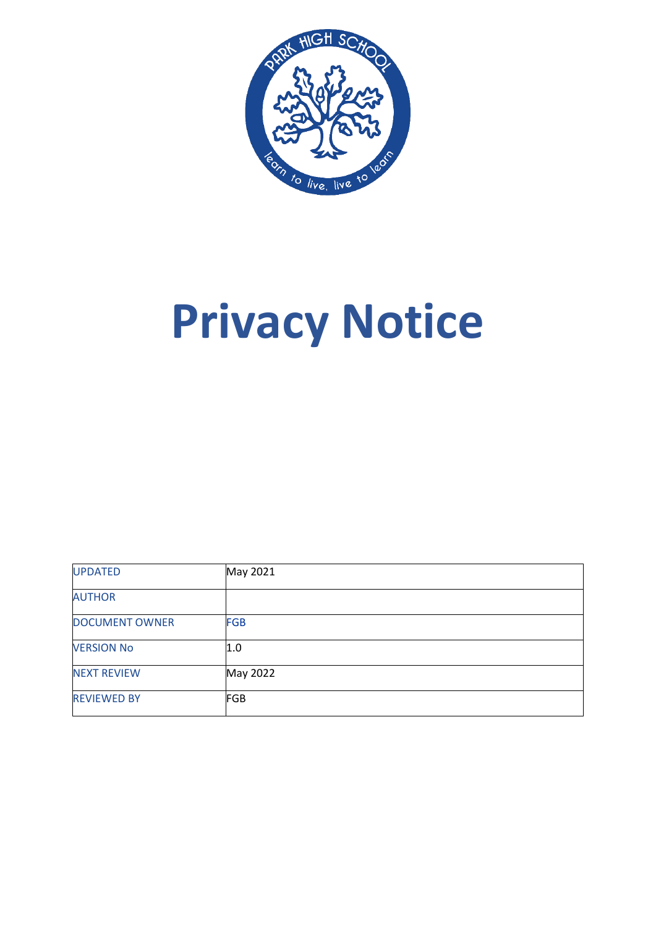

# **Privacy Notice**

| <b>UPDATED</b>        | May 2021   |
|-----------------------|------------|
| <b>AUTHOR</b>         |            |
| <b>DOCUMENT OWNER</b> | <b>FGB</b> |
| <b>VERSION No</b>     | 1.0        |
| <b>NEXT REVIEW</b>    | May 2022   |
| <b>REVIEWED BY</b>    | <b>FGB</b> |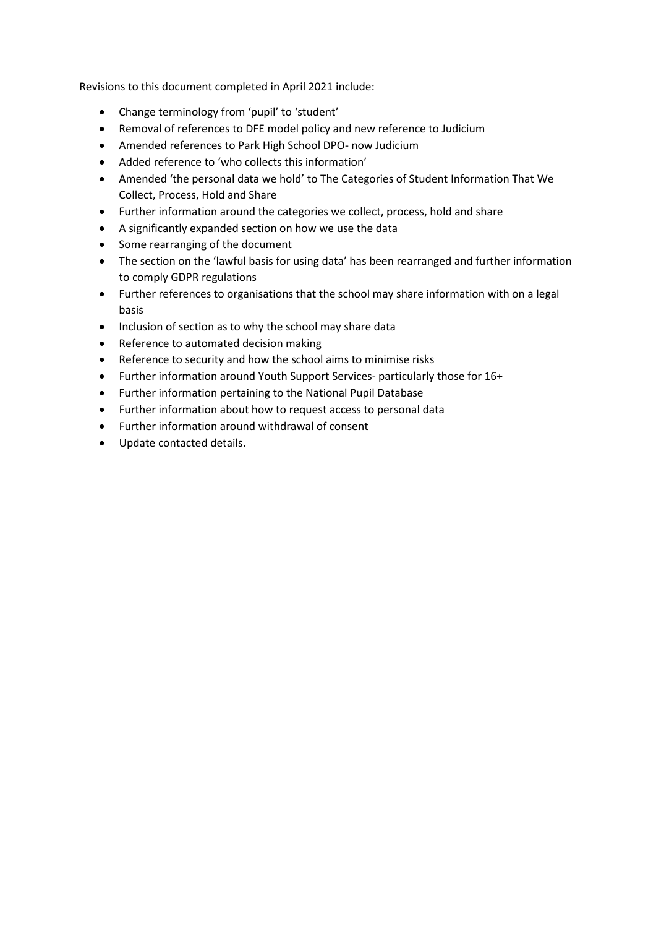Revisions to this document completed in April 2021 include:

- Change terminology from 'pupil' to 'student'
- Removal of references to DFE model policy and new reference to Judicium
- Amended references to Park High School DPO- now Judicium
- Added reference to 'who collects this information'
- Amended 'the personal data we hold' to The Categories of Student Information That We Collect, Process, Hold and Share
- Further information around the categories we collect, process, hold and share
- A significantly expanded section on how we use the data
- Some rearranging of the document
- The section on the 'lawful basis for using data' has been rearranged and further information to comply GDPR regulations
- Further references to organisations that the school may share information with on a legal basis
- Inclusion of section as to why the school may share data
- Reference to automated decision making
- Reference to security and how the school aims to minimise risks
- Further information around Youth Support Services- particularly those for 16+
- Further information pertaining to the National Pupil Database
- Further information about how to request access to personal data
- Further information around withdrawal of consent
- Update contacted details.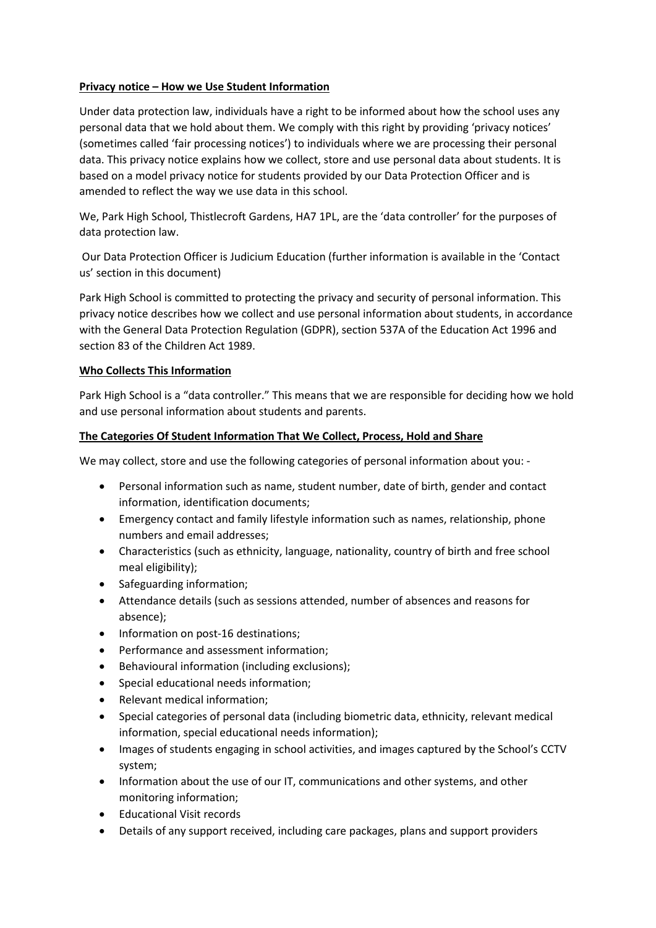# **Privacy notice – How we Use Student Information**

Under data protection law, individuals have a right to be informed about how the school uses any personal data that we hold about them. We comply with this right by providing 'privacy notices' (sometimes called 'fair processing notices') to individuals where we are processing their personal data. This privacy notice explains how we collect, store and use personal data about students. It is based on a model privacy notice for students provided by our Data Protection Officer and is amended to reflect the way we use data in this school.

We, Park High School, Thistlecroft Gardens, HA7 1PL, are the 'data controller' for the purposes of data protection law.

Our Data Protection Officer is Judicium Education (further information is available in the 'Contact us' section in this document)

Park High School is committed to protecting the privacy and security of personal information. This privacy notice describes how we collect and use personal information about students, in accordance with the General Data Protection Regulation (GDPR), section 537A of the Education Act 1996 and section 83 of the Children Act 1989.

## **Who Collects This Information**

Park High School is a "data controller." This means that we are responsible for deciding how we hold and use personal information about students and parents.

## **The Categories Of Student Information That We Collect, Process, Hold and Share**

We may collect, store and use the following categories of personal information about you: -

- Personal information such as name, student number, date of birth, gender and contact information, identification documents;
- Emergency contact and family lifestyle information such as names, relationship, phone numbers and email addresses;
- Characteristics (such as ethnicity, language, nationality, country of birth and free school meal eligibility);
- Safeguarding information;
- Attendance details (such as sessions attended, number of absences and reasons for absence);
- Information on post-16 destinations;
- Performance and assessment information;
- Behavioural information (including exclusions);
- Special educational needs information;
- Relevant medical information;
- Special categories of personal data (including biometric data, ethnicity, relevant medical information, special educational needs information);
- Images of students engaging in school activities, and images captured by the School's CCTV system;
- Information about the use of our IT, communications and other systems, and other monitoring information;
- Educational Visit records
- Details of any support received, including care packages, plans and support providers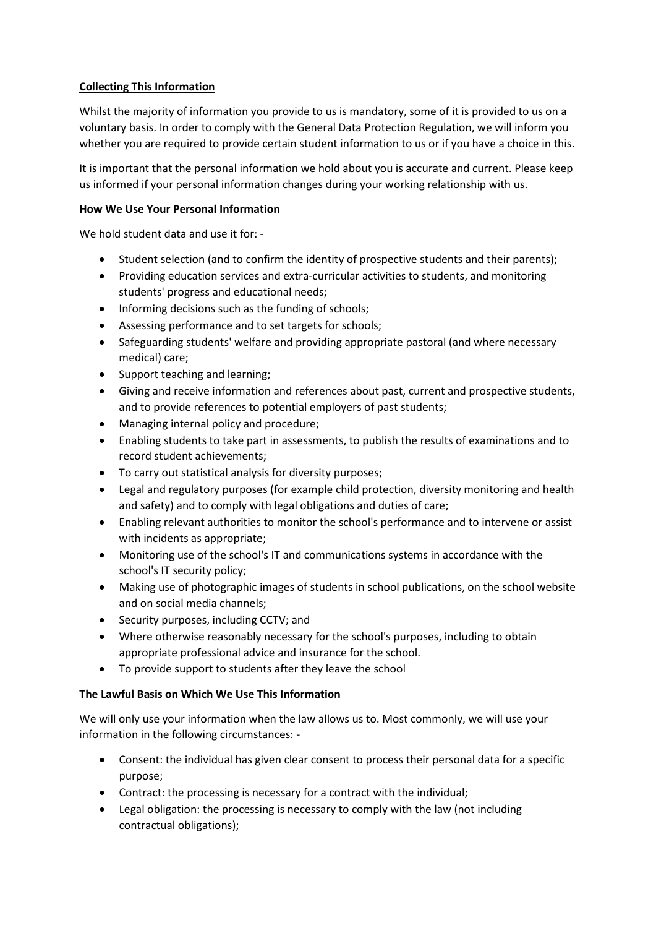# **Collecting This Information**

Whilst the majority of information you provide to us is mandatory, some of it is provided to us on a voluntary basis. In order to comply with the General Data Protection Regulation, we will inform you whether you are required to provide certain student information to us or if you have a choice in this.

It is important that the personal information we hold about you is accurate and current. Please keep us informed if your personal information changes during your working relationship with us.

# **How We Use Your Personal Information**

We hold student data and use it for: -

- Student selection (and to confirm the identity of prospective students and their parents);
- Providing education services and extra-curricular activities to students, and monitoring students' progress and educational needs;
- Informing decisions such as the funding of schools;
- Assessing performance and to set targets for schools;
- Safeguarding students' welfare and providing appropriate pastoral (and where necessary medical) care;
- Support teaching and learning;
- Giving and receive information and references about past, current and prospective students, and to provide references to potential employers of past students;
- Managing internal policy and procedure;
- Enabling students to take part in assessments, to publish the results of examinations and to record student achievements;
- To carry out statistical analysis for diversity purposes;
- Legal and regulatory purposes (for example child protection, diversity monitoring and health and safety) and to comply with legal obligations and duties of care;
- Enabling relevant authorities to monitor the school's performance and to intervene or assist with incidents as appropriate;
- Monitoring use of the school's IT and communications systems in accordance with the school's IT security policy;
- Making use of photographic images of students in school publications, on the school website and on social media channels;
- Security purposes, including CCTV; and
- Where otherwise reasonably necessary for the school's purposes, including to obtain appropriate professional advice and insurance for the school.
- To provide support to students after they leave the school

#### **The Lawful Basis on Which We Use This Information**

We will only use your information when the law allows us to. Most commonly, we will use your information in the following circumstances: -

- Consent: the individual has given clear consent to process their personal data for a specific purpose;
- Contract: the processing is necessary for a contract with the individual;
- Legal obligation: the processing is necessary to comply with the law (not including contractual obligations);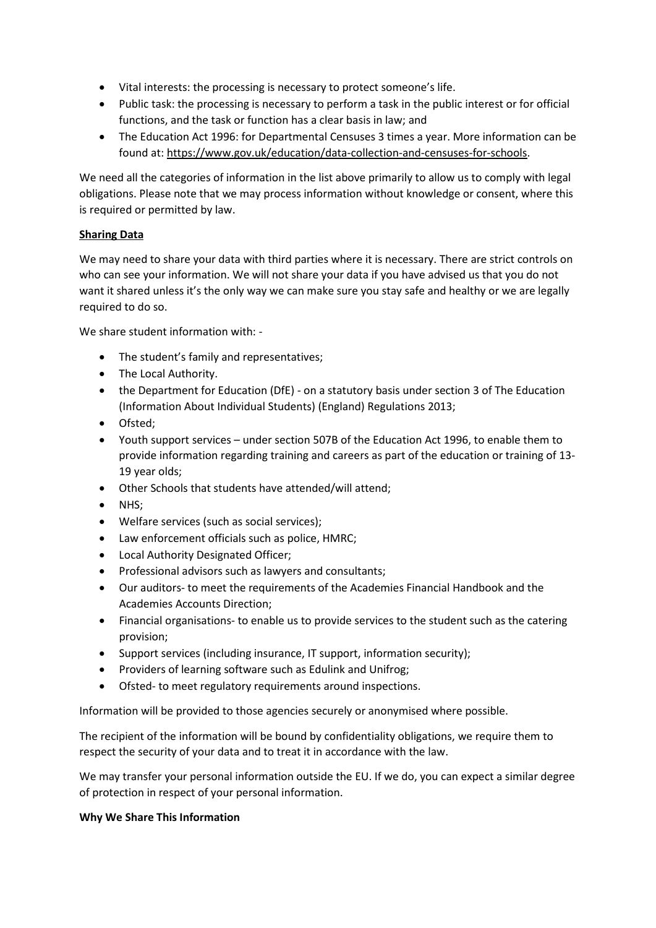- Vital interests: the processing is necessary to protect someone's life.
- Public task: the processing is necessary to perform a task in the public interest or for official functions, and the task or function has a clear basis in law; and
- The Education Act 1996: for Departmental Censuses 3 times a year. More information can be found at[: https://www.gov.uk/education/data-collection-and-censuses-for-schools.](https://www.gov.uk/education/data-collection-and-censuses-for-schools)

We need all the categories of information in the list above primarily to allow us to comply with legal obligations. Please note that we may process information without knowledge or consent, where this is required or permitted by law.

# **Sharing Data**

We may need to share your data with third parties where it is necessary. There are strict controls on who can see your information. We will not share your data if you have advised us that you do not want it shared unless it's the only way we can make sure you stay safe and healthy or we are legally required to do so.

We share student information with: -

- The student's family and representatives;
- The Local Authority.
- the Department for Education (DfE) on a statutory basis under section 3 of The Education (Information About Individual Students) (England) Regulations 2013;
- Ofsted;
- Youth support services under section 507B of the Education Act 1996, to enable them to provide information regarding training and careers as part of the education or training of 13- 19 year olds;
- Other Schools that students have attended/will attend;
- NHS;
- Welfare services (such as social services);
- Law enforcement officials such as police, HMRC;
- Local Authority Designated Officer;
- Professional advisors such as lawyers and consultants;
- Our auditors- to meet the requirements of the Academies Financial Handbook and the Academies Accounts Direction;
- Financial organisations- to enable us to provide services to the student such as the catering provision;
- Support services (including insurance, IT support, information security);
- Providers of learning software such as Edulink and Unifrog;
- Ofsted- to meet regulatory requirements around inspections.

Information will be provided to those agencies securely or anonymised where possible.

The recipient of the information will be bound by confidentiality obligations, we require them to respect the security of your data and to treat it in accordance with the law.

We may transfer your personal information outside the EU. If we do, you can expect a similar degree of protection in respect of your personal information.

# **Why We Share This Information**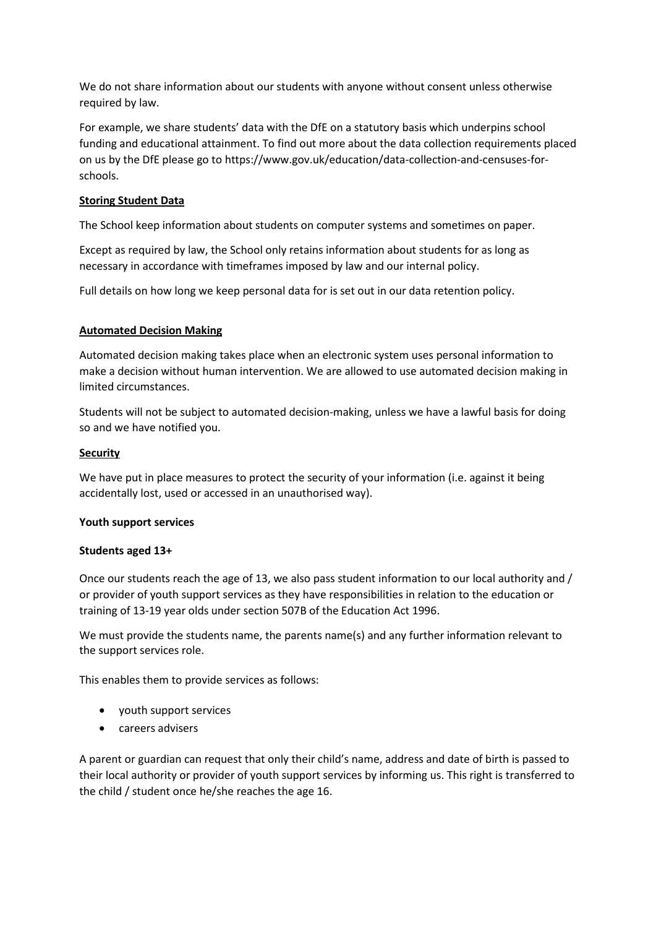We do not share information about our students with anyone without consent unless otherwise required by law.

For example, we share students' data with the DfE on a statutory basis which underpins school funding and educational attainment. To find out more about the data collection requirements placed on us by the DfE please go to https://www.gov.uk/education/data-collection-and-censuses-forschools.

# **Storing Student Data**

The School keep information about students on computer systems and sometimes on paper.

Except as required by law, the School only retains information about students for as long as necessary in accordance with timeframes imposed by law and our internal policy.

Full details on how long we keep personal data for is set out in our data retention policy.

#### **Automated Decision Making**

Automated decision making takes place when an electronic system uses personal information to make a decision without human intervention. We are allowed to use automated decision making in limited circumstances.

Students will not be subject to automated decision-making, unless we have a lawful basis for doing so and we have notified you.

## **Security**

We have put in place measures to protect the security of your information (i.e. against it being accidentally lost, used or accessed in an unauthorised way).

#### **Youth support services**

#### **Students aged 13+**

Once our students reach the age of 13, we also pass student information to our local authority and / or provider of youth support services as they have responsibilities in relation to the education or training of 13-19 year olds under section 507B of the Education Act 1996.

We must provide the students name, the parents name(s) and any further information relevant to the support services role.

This enables them to provide services as follows:

- youth support services
- careers advisers

A parent or guardian can request that only their child's name, address and date of birth is passed to their local authority or provider of youth support services by informing us. This right is transferred to the child / student once he/she reaches the age 16.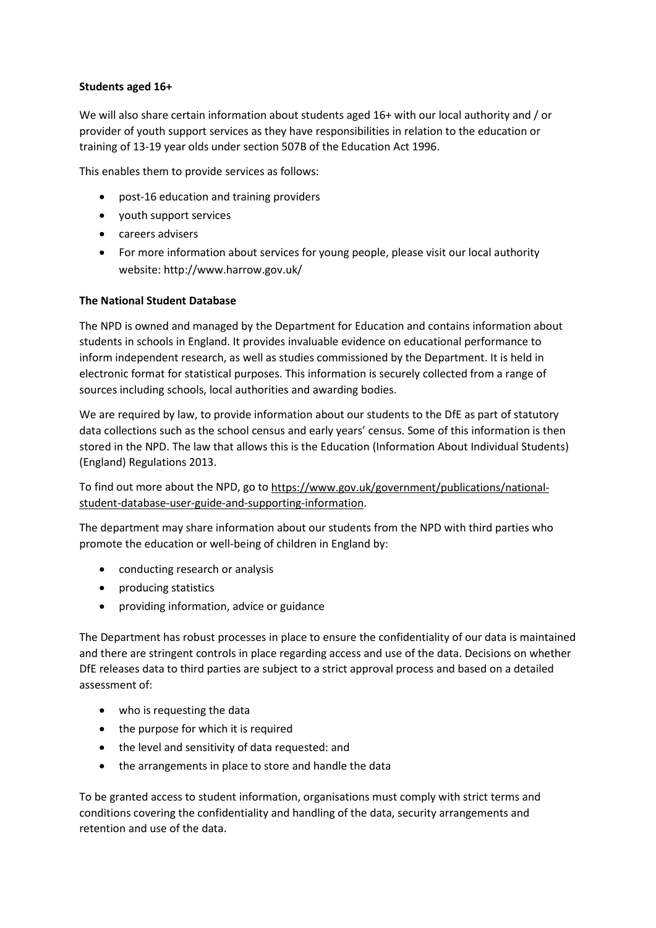# **Students aged 16+**

We will also share certain information about students aged 16+ with our local authority and / or provider of youth support services as they have responsibilities in relation to the education or training of 13-19 year olds under section 507B of the Education Act 1996.

This enables them to provide services as follows:

- post-16 education and training providers
- youth support services
- careers advisers
- For more information about services for young people, please visit our local authority website: http://www.harrow.gov.uk/

#### **The National Student Database**

The NPD is owned and managed by the Department for Education and contains information about students in schools in England. It provides invaluable evidence on educational performance to inform independent research, as well as studies commissioned by the Department. It is held in electronic format for statistical purposes. This information is securely collected from a range of sources including schools, local authorities and awarding bodies.

We are required by law, to provide information about our students to the DfE as part of statutory data collections such as the school census and early years' census. Some of this information is then stored in the NPD. The law that allows this is the Education (Information About Individual Students) (England) Regulations 2013.

To find out more about the NPD, go to [https://www.gov.uk/government/publications/national](https://www.gov.uk/government/publications/national-pupil-database-user-guide-and-supporting-information)[student-database-user-guide-and-supporting-information.](https://www.gov.uk/government/publications/national-pupil-database-user-guide-and-supporting-information)

The department may share information about our students from the NPD with third parties who promote the education or well-being of children in England by:

- conducting research or analysis
- producing statistics
- providing information, advice or guidance

The Department has robust processes in place to ensure the confidentiality of our data is maintained and there are stringent controls in place regarding access and use of the data. Decisions on whether DfE releases data to third parties are subject to a strict approval process and based on a detailed assessment of:

- who is requesting the data
- the purpose for which it is required
- the level and sensitivity of data requested: and
- the arrangements in place to store and handle the data

To be granted access to student information, organisations must comply with strict terms and conditions covering the confidentiality and handling of the data, security arrangements and retention and use of the data.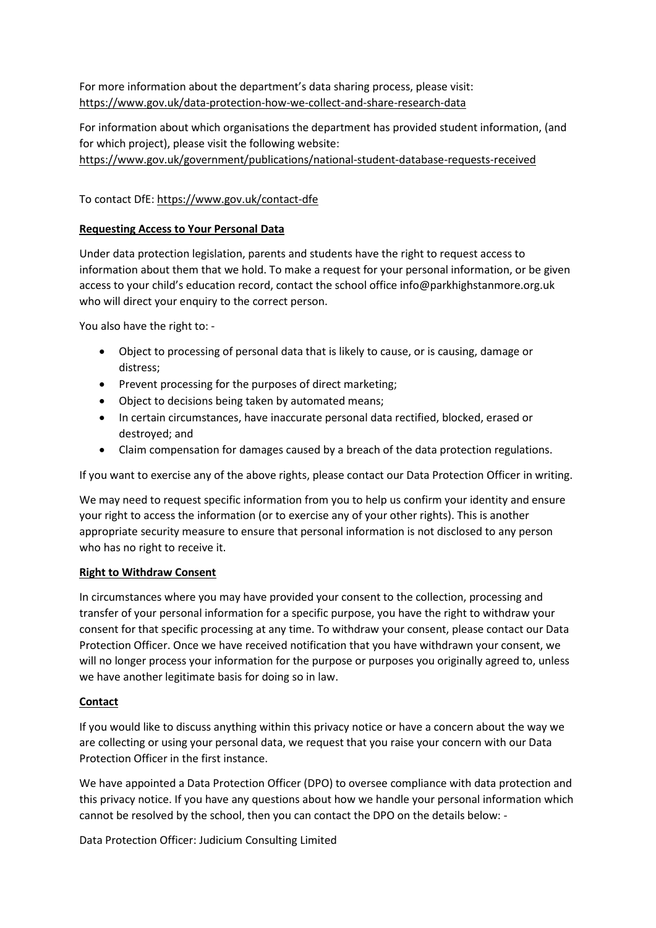For more information about the department's data sharing process, please visit: <https://www.gov.uk/data-protection-how-we-collect-and-share-research-data>

For information about which organisations the department has provided student information, (and for which project), please visit the following website: [https://www.gov.uk/government/publications/national-student-database-requests-received](https://www.gov.uk/government/publications/national-pupil-database-requests-received)

# To contact DfE[: https://www.gov.uk/contact-dfe](https://www.gov.uk/contact-dfe)

## **Requesting Access to Your Personal Data**

Under data protection legislation, parents and students have the right to request access to information about them that we hold. To make a request for your personal information, or be given access to your child's education record, contact the school office [info@parkhighstanmore.org.uk](mailto:info@parkhighstanmore.org.uk) who will direct your enquiry to the correct person.

You also have the right to: -

- Object to processing of personal data that is likely to cause, or is causing, damage or distress;
- Prevent processing for the purposes of direct marketing;
- Object to decisions being taken by automated means;
- In certain circumstances, have inaccurate personal data rectified, blocked, erased or destroyed; and
- Claim compensation for damages caused by a breach of the data protection regulations.

If you want to exercise any of the above rights, please contact our Data Protection Officer in writing.

We may need to request specific information from you to help us confirm your identity and ensure your right to access the information (or to exercise any of your other rights). This is another appropriate security measure to ensure that personal information is not disclosed to any person who has no right to receive it.

#### **Right to Withdraw Consent**

In circumstances where you may have provided your consent to the collection, processing and transfer of your personal information for a specific purpose, you have the right to withdraw your consent for that specific processing at any time. To withdraw your consent, please contact our Data Protection Officer. Once we have received notification that you have withdrawn your consent, we will no longer process your information for the purpose or purposes you originally agreed to, unless we have another legitimate basis for doing so in law.

#### **Contact**

If you would like to discuss anything within this privacy notice or have a concern about the way we are collecting or using your personal data, we request that you raise your concern with our Data Protection Officer in the first instance.

We have appointed a Data Protection Officer (DPO) to oversee compliance with data protection and this privacy notice. If you have any questions about how we handle your personal information which cannot be resolved by the school, then you can contact the DPO on the details below: -

Data Protection Officer: Judicium Consulting Limited